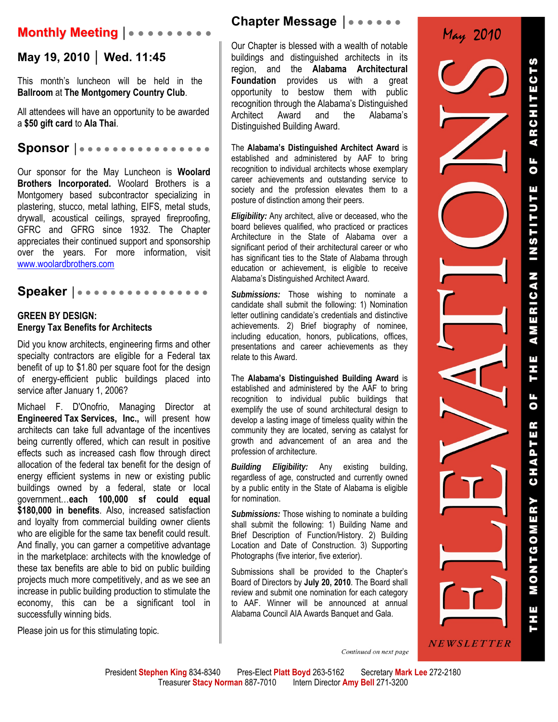## **Monthly Meeting │● ● ● ● ● ● ● ● ●**

### **May 19, 2010 │ Wed. 11:45**

This month's luncheon will be held in the **Ballroom** at **The Montgomery Country Club**.

All attendees will have an opportunity to be awarded a **\$50 gift card** to **Ala Thai**.

**Sponsor │● ● ● ● ● ● ● ● ● ● ● ● ● ● ● ●**

Our sponsor for the May Luncheon is **Woolard Brothers Incorporated.** Woolard Brothers is a Montgomery based subcontractor specializing in plastering, stucco, metal lathing, EIFS, metal studs, drywall, acoustical ceilings, sprayed fireproofing, GFRC and GFRG since 1932. The Chapter appreciates their continued support and sponsorship over the years. For more information, visit www.woolardbrothers.com

Speaker | • • • • • • • • • • • • • • • • •

#### **GREEN BY DESIGN: Energy Tax Benefits for Architects**

Did you know architects, engineering firms and other specialty contractors are eligible for a Federal tax benefit of up to \$1.80 per square foot for the design of energy-efficient public buildings placed into service after January 1, 2006?

Michael F. D'Onofrio, Managing Director at **Engineered Tax Services, Inc.,** will present how architects can take full advantage of the incentives being currently offered, which can result in positive effects such as increased cash flow through direct allocation of the federal tax benefit for the design of energy efficient systems in new or existing public buildings owned by a federal, state or local government…**each 100,000 sf could equal \$180,000 in benefits**. Also, increased satisfaction and loyalty from commercial building owner clients who are eligible for the same tax benefit could result. And finally, you can garner a competitive advantage in the marketplace: architects with the knowledge of these tax benefits are able to bid on public building projects much more competitively, and as we see an increase in public building production to stimulate the economy, this can be a significant tool in successfully winning bids.

Please join us for this stimulating topic.

### **Chapter Message** │● ● ● ● ● ●

Our Chapter is blessed with a wealth of notable buildings and distinguished architects in its region, and the **Alabama Architectural Foundation** provides us with a great opportunity to bestow them with public recognition through the Alabama's Distinguished Architect Award and the Alabama's Distinguished Building Award.

The **Alabama's Distinguished Architect Award** is established and administered by AAF to bring recognition to individual architects whose exemplary career achievements and outstanding service to society and the profession elevates them to a posture of distinction among their peers.

*Eligibility:* Any architect, alive or deceased, who the board believes qualified, who practiced or practices Architecture in the State of Alabama over a significant period of their architectural career or who has significant ties to the State of Alabama through education or achievement, is eligible to receive Alabama's Distinguished Architect Award.

*Submissions:* Those wishing to nominate a candidate shall submit the following: 1) Nomination letter outlining candidate's credentials and distinctive achievements. 2) Brief biography of nominee, including education, honors, publications, offices, presentations and career achievements as they relate to this Award.

The **Alabama's Distinguished Building Award** is established and administered by the AAF to bring recognition to individual public buildings that exemplify the use of sound architectural design to develop a lasting image of timeless quality within the community they are located, serving as catalyst for growth and advancement of an area and the profession of architecture.

*Building Eligibility:* Any existing building, regardless of age, constructed and currently owned by a public entity in the State of Alabama is eligible for nomination.

*Submissions:* Those wishing to nominate a building shall submit the following: 1) Building Name and Brief Description of Function/History. 2) Building Location and Date of Construction. 3) Supporting Photographs (five interior, five exterior).

Submissions shall be provided to the Chapter's Board of Directors by **July 20, 2010**. The Board shall review and submit one nomination for each category to AAF. Winner will be announced at annual Alabama Council AIA Awards Banquet and Gala.

May 2010ARCHITECTS  $\overline{\bullet}$ **INSTITUTI** AMERICAN THE *NEWSLETTER* 

OF CHAPTER MONTGOMERY

Continued on next page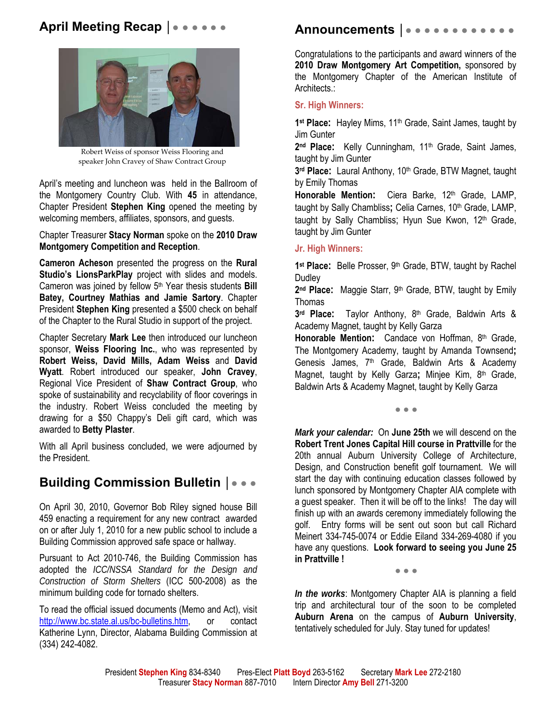## **April Meeting Recap | ● ● ● ● ● ●**



Robert Weiss of sponsor Weiss Flooring and speaker John Cravey of Shaw Contract Group

April's meeting and luncheon was held in the Ballroom of the Montgomery Country Club. With **45** in attendance, Chapter President **Stephen King** opened the meeting by welcoming members, affiliates, sponsors, and guests.

Chapter Treasurer **Stacy Norman** spoke on the **2010 Draw Montgomery Competition and Reception**.

**Cameron Acheson** presented the progress on the **Rural Studio's LionsParkPlay** project with slides and models. Cameron was joined by fellow 5<sup>th</sup> Year thesis students **Bill Batey, Courtney Mathias and Jamie Sartory**. Chapter President **Stephen King** presented a \$500 check on behalf of the Chapter to the Rural Studio in support of the project.

Chapter Secretary **Mark Lee** then introduced our luncheon sponsor, **Weiss Flooring Inc.**, who was represented by **Robert Weiss, David Mills, Adam Weiss** and **David Wyatt**. Robert introduced our speaker, **John Cravey**, Regional Vice President of **Shaw Contract Group**, who spoke of sustainability and recyclability of floor coverings in the industry. Robert Weiss concluded the meeting by drawing for a \$50 Chappy's Deli gift card, which was awarded to **Betty Plaster**.

With all April business concluded, we were adjourned by the President.

# **Building Commission Bulletin |●●●**

On April 30, 2010, Governor Bob Riley signed house Bill 459 enacting a requirement for any new contract awarded on or after July 1, 2010 for a new public school to include a Building Commission approved safe space or hallway.

Pursuant to Act 2010-746, the Building Commission has adopted the *ICC/NSSA Standard for the Design and Construction of Storm Shelters* (ICC 500-2008) as the minimum building code for tornado shelters.

To read the official issued documents (Memo and Act), visit http://www.bc.state.al.us/bc-bulletins.htm, or contact Katherine Lynn, Director, Alabama Building Commission at (334) 242-4082.

## **Announcements │**● ● ● ● ● ● ● ● ● ● ● ●

Congratulations to the participants and award winners of the **2010 Draw Montgomery Art Competition,** sponsored by the Montgomery Chapter of the American Institute of Architects.:

### **Sr. High Winners:**

1<sup>st</sup> Place: Hayley Mims, 11<sup>th</sup> Grade, Saint James, taught by Jim Gunter

2<sup>nd</sup> Place: Kelly Cunningham, 11<sup>th</sup> Grade, Saint James, taught by Jim Gunter

3<sup>rd</sup> Place: Laural Anthony, 10<sup>th</sup> Grade, BTW Magnet, taught by Emily Thomas

Honorable Mention: Ciera Barke, 12<sup>th</sup> Grade, LAMP, taught by Sally Chambliss; Celia Carnes, 10<sup>th</sup> Grade, LAMP, taught by Sally Chambliss; Hyun Sue Kwon, 12<sup>th</sup> Grade, taught by Jim Gunter

#### **Jr. High Winners:**

1<sup>st</sup> Place: Belle Prosser, 9<sup>th</sup> Grade, BTW, taught by Rachel **Dudley** 

**2nd Place:** Maggie Starr, 9th Grade, BTW, taught by Emily Thomas

3<sup>rd</sup> Place: Taylor Anthony, 8<sup>th</sup> Grade, Baldwin Arts & Academy Magnet, taught by Kelly Garza

Honorable Mention: Candace von Hoffman, 8<sup>th</sup> Grade, The Montgomery Academy, taught by Amanda Townsend**;**  Genesis James, 7<sup>th</sup> Grade, Baldwin Arts & Academy Magnet, taught by Kelly Garza**;** Minjee Kim, 8th Grade, Baldwin Arts & Academy Magnet, taught by Kelly Garza

● ● ●

*Mark your calendar:* On **June 25th** we will descend on the **Robert Trent Jones Capital Hill course in Prattville** for the 20th annual Auburn University College of Architecture, Design, and Construction benefit golf tournament. We will start the day with continuing education classes followed by lunch sponsored by Montgomery Chapter AIA complete with a guest speaker. Then it will be off to the links! The day will finish up with an awards ceremony immediately following the golf. Entry forms will be sent out soon but call Richard Meinert 334-745-0074 or Eddie Eiland 334-269-4080 if you have any questions. **Look forward to seeing you June 25 in Prattville !**

● ● ●

*In the works*: Montgomery Chapter AIA is planning a field trip and architectural tour of the soon to be completed **Auburn Arena** on the campus of **Auburn University**, tentatively scheduled for July. Stay tuned for updates!